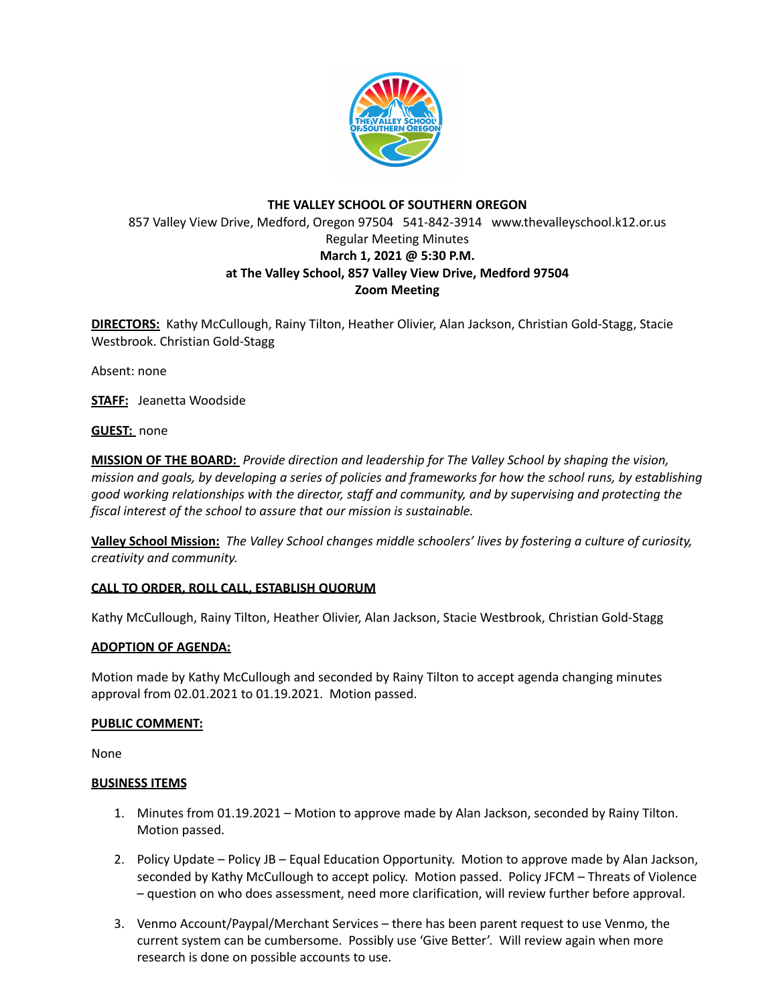

# **THE VALLEY SCHOOL OF SOUTHERN OREGON** 857 Valley View Drive, Medford, Oregon 97504 541-842-3914 www.thevalleyschool.k12.or.us Regular Meeting Minutes **March 1, 2021 @ 5:30 P.M. at The Valley School, 857 Valley View Drive, Medford 97504 Zoom Meeting**

**DIRECTORS:** Kathy McCullough, Rainy Tilton, Heather Olivier, Alan Jackson, Christian Gold-Stagg, Stacie Westbrook. Christian Gold-Stagg

Absent: none

**STAFF:** Jeanetta Woodside

**GUEST:** none

**MISSION OF THE BOARD:** *Provide direction and leadership for The Valley School by shaping the vision,* mission and goals, by developing a series of policies and frameworks for how the school runs, by establishing *good working relationships with the director, staff and community, and by supervising and protecting the fiscal interest of the school to assure that our mission is sustainable.*

**Valley School Mission:** *The Valley School changes middle schoolers' lives by fostering a culture of curiosity, creativity and community.*

### **CALL TO ORDER, ROLL CALL, ESTABLISH QUORUM**

Kathy McCullough, Rainy Tilton, Heather Olivier, Alan Jackson, Stacie Westbrook, Christian Gold-Stagg

### **ADOPTION OF AGENDA:**

Motion made by Kathy McCullough and seconded by Rainy Tilton to accept agenda changing minutes approval from 02.01.2021 to 01.19.2021. Motion passed.

### **PUBLIC COMMENT:**

None

### **BUSINESS ITEMS**

- 1. Minutes from 01.19.2021 Motion to approve made by Alan Jackson, seconded by Rainy Tilton. Motion passed.
- 2. Policy Update Policy JB Equal Education Opportunity. Motion to approve made by Alan Jackson, seconded by Kathy McCullough to accept policy. Motion passed. Policy JFCM – Threats of Violence – question on who does assessment, need more clarification, will review further before approval.
- 3. Venmo Account/Paypal/Merchant Services there has been parent request to use Venmo, the current system can be cumbersome. Possibly use 'Give Better'. Will review again when more research is done on possible accounts to use.